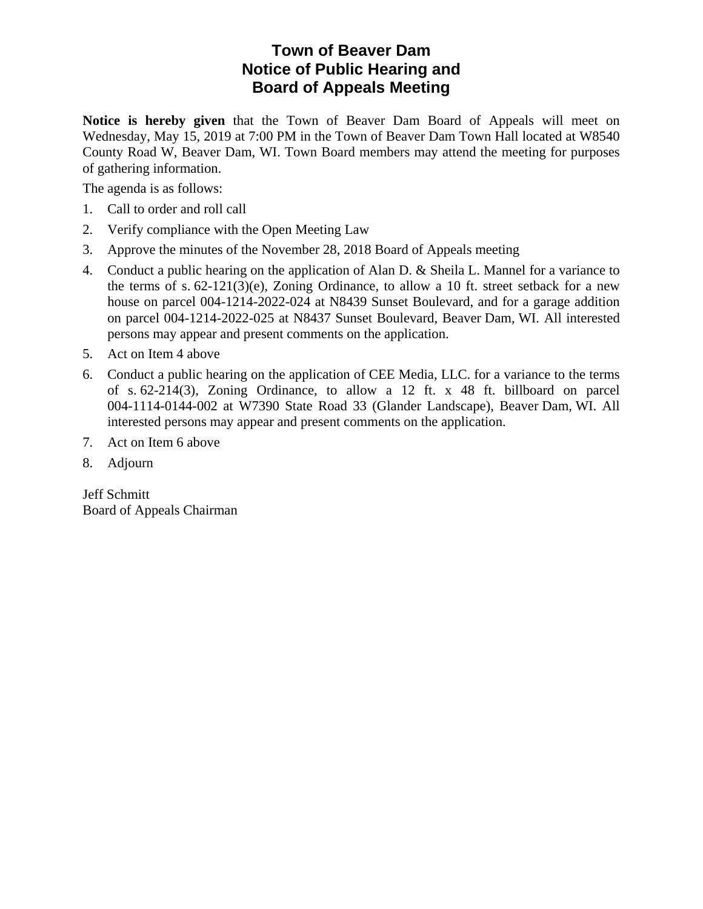### **Town of Beaver Dam Notice of Public Hearing and Board of Appeals Meeting**

**Notice is hereby given** that the Town of Beaver Dam Board of Appeals will meet on Wednesday, May 15, 2019 at 7:00 PM in the Town of Beaver Dam Town Hall located at W8540 County Road W, Beaver Dam, WI. Town Board members may attend the meeting for purposes of gathering information.

The agenda is as follows:

- 1. Call to order and roll call
- 2. Verify compliance with the Open Meeting Law
- 3. Approve the minutes of the November 28, 2018 Board of Appeals meeting
- 4. Conduct a public hearing on the application of Alan D. & Sheila L. Mannel for a variance to the terms of s.  $62-121(3)(e)$ , Zoning Ordinance, to allow a 10 ft. street setback for a new house on parcel 004-1214-2022-024 at N8439 Sunset Boulevard, and for a garage addition on parcel 004-1214-2022-025 at N8437 Sunset Boulevard, Beaver Dam, WI. All interested persons may appear and present comments on the application.
- 5. Act on Item 4 above
- 6. Conduct a public hearing on the application of CEE Media, LLC. for a variance to the terms of s. 62-214(3), Zoning Ordinance, to allow a 12 ft. x 48 ft. billboard on parcel 004-1114-0144-002 at W7390 State Road 33 (Glander Landscape), Beaver Dam, WI. All interested persons may appear and present comments on the application.
- 7. Act on Item 6 above
- 8. Adjourn

Jeff Schmitt Board of Appeals Chairman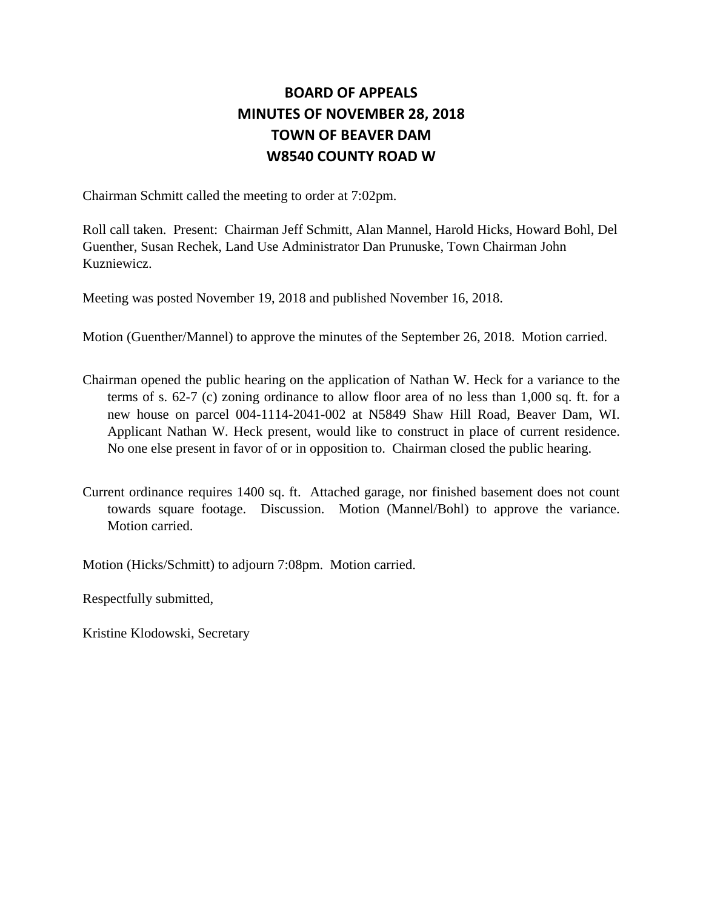### **BOARD OF APPEALS MINUTES OF NOVEMBER 28, 2018 TOWN OF BEAVER DAM W8540 COUNTY ROAD W**

Chairman Schmitt called the meeting to order at 7:02pm.

Roll call taken. Present: Chairman Jeff Schmitt, Alan Mannel, Harold Hicks, Howard Bohl, Del Guenther, Susan Rechek, Land Use Administrator Dan Prunuske, Town Chairman John Kuzniewicz.

Meeting was posted November 19, 2018 and published November 16, 2018.

Motion (Guenther/Mannel) to approve the minutes of the September 26, 2018. Motion carried.

- Chairman opened the public hearing on the application of Nathan W. Heck for a variance to the terms of s. 62-7 (c) zoning ordinance to allow floor area of no less than 1,000 sq. ft. for a new house on parcel 004-1114-2041-002 at N5849 Shaw Hill Road, Beaver Dam, WI. Applicant Nathan W. Heck present, would like to construct in place of current residence. No one else present in favor of or in opposition to. Chairman closed the public hearing.
- Current ordinance requires 1400 sq. ft. Attached garage, nor finished basement does not count towards square footage. Discussion. Motion (Mannel/Bohl) to approve the variance. Motion carried.

Motion (Hicks/Schmitt) to adjourn 7:08pm. Motion carried.

Respectfully submitted,

Kristine Klodowski, Secretary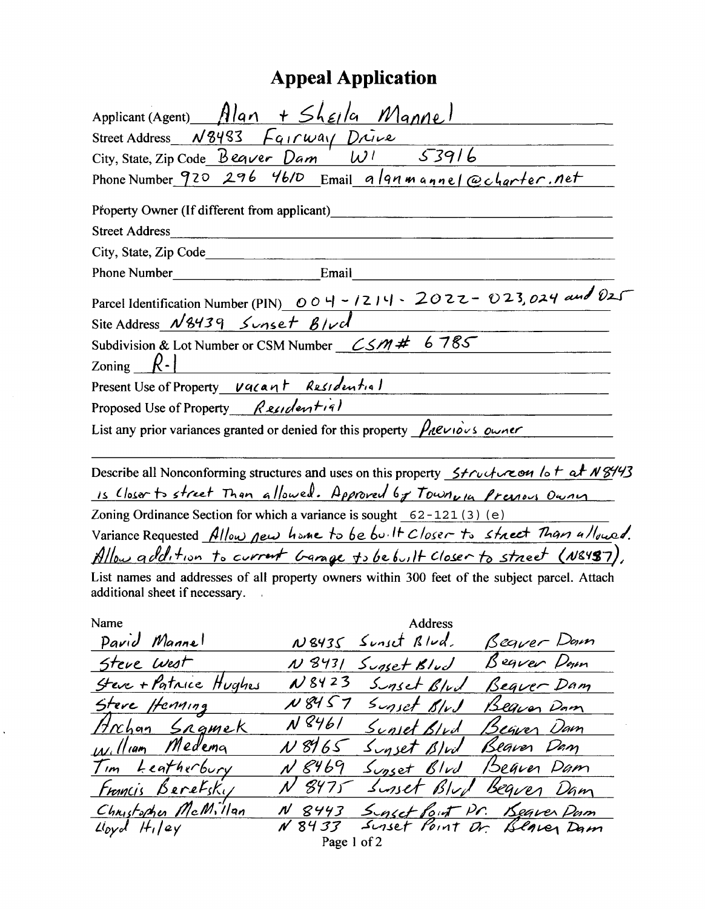## **Appeal Application**

| Applicant (Agent) Alan + Shella Mannel                                                                                                                    |
|-----------------------------------------------------------------------------------------------------------------------------------------------------------|
| Street Address $N8483$ $\overline{a_{1}rwa_{1}}$ $\overline{D}u\overline{v}e$                                                                             |
| 53916<br>City, State, Zip Code $\mathcal{B}$ eqver Dam<br>$W^{\prime}$                                                                                    |
| Phone Number 920 296 46/D Email algnmannel@charter.net                                                                                                    |
|                                                                                                                                                           |
| Property Owner (If different from applicant)                                                                                                              |
| <b>Street Address</b><br>City, State, Zip Code                                                                                                            |
| Email<br><b>Phone Number</b>                                                                                                                              |
|                                                                                                                                                           |
| Parcel Identification Number (PIN) $\overline{OO}$ 4 - 1214 - 2022 - 023, 024 and 021                                                                     |
| Site Address $N8439$ Sunset $B/\nu d$                                                                                                                     |
| 6785<br>Subdivision & Lot Number or CSM Number $\sim$ CSM #                                                                                               |
| Zoning $R -$                                                                                                                                              |
| Present Use of Property vacant Residential                                                                                                                |
| Proposed Use of Property Residential                                                                                                                      |
| List any prior variances granted or denied for this property $\frac{\rho_A e_{\nu_1} \delta_{\nu_2}}{\rho_A e_{\nu_1} \delta_{\nu_2}}$                    |
|                                                                                                                                                           |
| Describe all Nonconforming structures and uses on this property $\frac{\xi}{\xi}$ $\frac{\xi}{\xi}$ $\frac{\xi}{\xi}$ $\frac{\xi}{\xi}$ $\frac{\xi}{\xi}$ |
| is Closer to street Than allowed. Approved by Townwin Previous Owner                                                                                      |
| Zoning Ordinance Section for which a variance is sought 62-121(3) (e)                                                                                     |
| Variance Requested Allow pew home to be built Closer to street Than ullowed.                                                                              |
| Allow addition to current Garage to be built Closer to street (N&487).                                                                                    |
| List names and addresses of all property owners within 300 feet of the subject parcel. Attach<br>additional sheet if necessary.                           |
| Address<br>Name                                                                                                                                           |
| Pavid Mannel<br>Sunset Blud. Beguer Down<br>N8435                                                                                                         |
| Sunset Blud Begver Down<br>Steve West<br>N 8431                                                                                                           |
| N 8423<br>Steve + Patrice Hughes<br>Sunset Blvd Bequer Dam                                                                                                |
| N8457 Sunset BlvJ<br>Stere Henning<br>Beginn Dam                                                                                                          |
| N 8461<br>Hrchan SRgmek<br>Sunset Blud Beguer Dam                                                                                                         |
| William Medema<br>N8965<br>Sunset Blut<br>Beaver Dam                                                                                                      |
| <u>Tim Leatherbury</u><br>N 8469<br>Supset Blvd Beaver Dam                                                                                                |
| Surset Blud Bequer Dam<br>8975<br><u>Francis Berefsky</u>                                                                                                 |
| Christopher McMillan<br><u>Suset Point Pr. Beaver Pum</u><br>Suset Point Dr. Blaver Dam<br><u>N 8443</u>                                                  |
| N 8433<br>$Lyd$ $H_1$  ey<br>Page 1 of 2                                                                                                                  |
|                                                                                                                                                           |

 $\hat{\mathbf{r}}$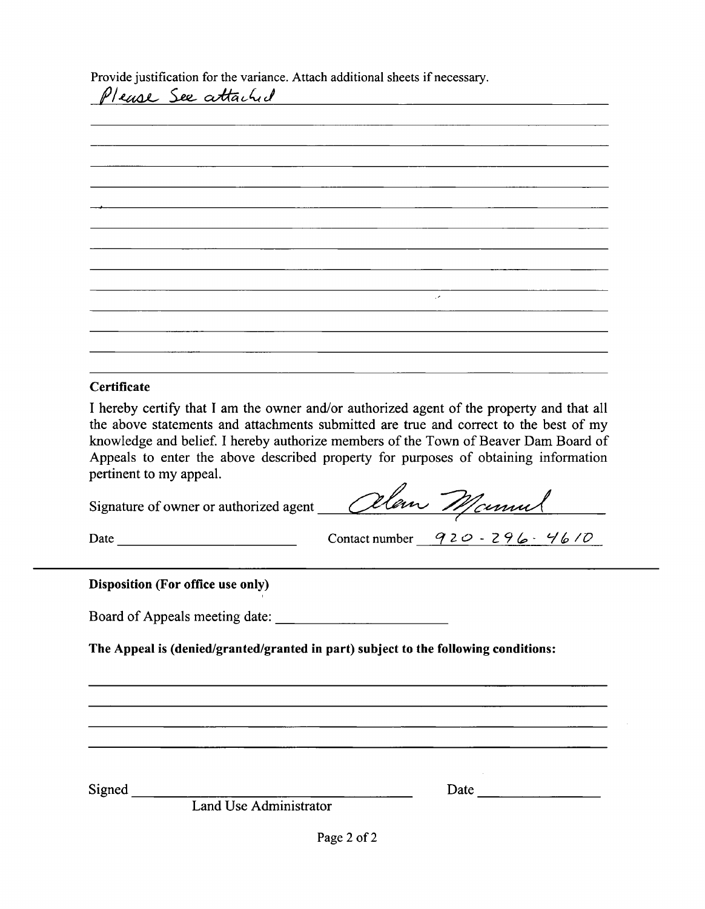Provide justification for the variance. Attach additional sheets if necessary.

| Please See attached |  |               |  |
|---------------------|--|---------------|--|
|                     |  |               |  |
|                     |  |               |  |
|                     |  |               |  |
|                     |  |               |  |
|                     |  |               |  |
|                     |  |               |  |
|                     |  |               |  |
|                     |  |               |  |
|                     |  |               |  |
|                     |  |               |  |
|                     |  |               |  |
|                     |  | $\mathcal{L}$ |  |
|                     |  |               |  |
|                     |  |               |  |
|                     |  |               |  |
|                     |  |               |  |
|                     |  |               |  |
| Certificate         |  |               |  |

I hereby certify that I am the owner and/or authorized agent of the property and that all the above statements and attachments submitted are true and correct to the best of my knowledge and belief. I hereby authorize members of the Town of Beaver Dam Board of Appeals to enter the above described property for purposes of obtaining information pertinent to my appeal.

Signature of owner or authorized agent Cllan Manuel

Date <u>Contact number</u>  $920 - 296 - 4610$ 

#### **Disposition (For office use only)**

Board of Appeals meeting date:

The Appeal is (denied/granted/granted in part) subject to the following conditions:

Signed

Date

Land Use Administrator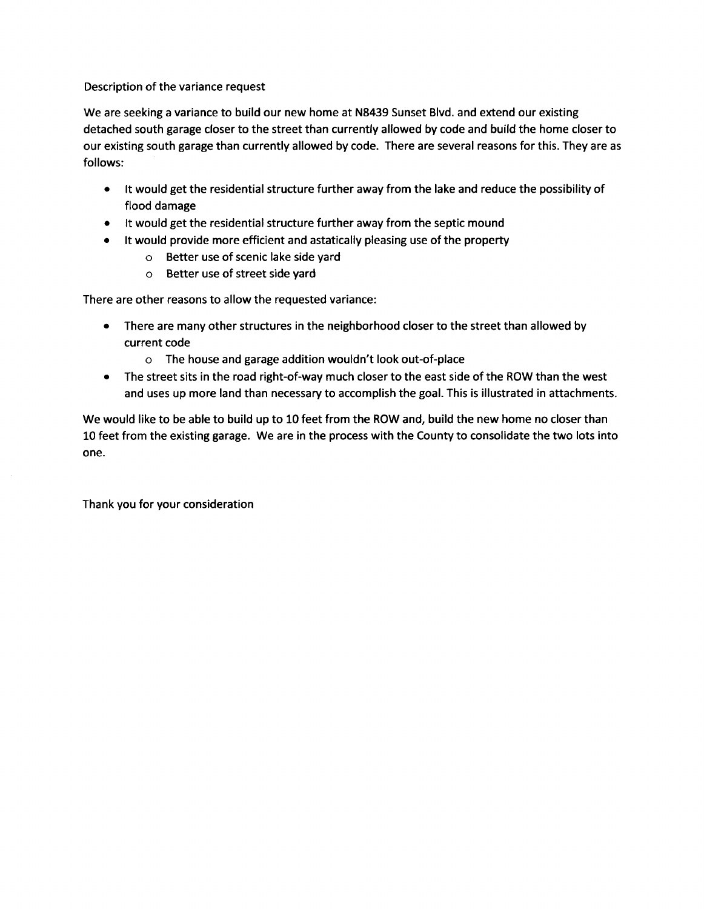Description of the variance request

We are seeking a variance to build our new home at N8439 Sunset Blvd. and extend our existing detached south garage closer to the street than currently allowed by code and build the home closer to our existing south garage than currently allowed by code. There are several reasons for this. They are as follows:

- It would get the residential structure further away from the lake and reduce the possibility of flood damage
- It would get the residential structure further away from the septic mound
- It would provide more efficient and astatically pleasing use of the property
	- o Better use of scenic lake side yard
	- o Better use of street side yard

There are other reasons to allow the requested variance:

- There are many other structures in the neighborhood closer to the street than allowed by current code
	- o The house and garage addition wouldn't look out-of-place
- The street sits in the road right-of-way much closer to the east side of the ROW than the west  $\bullet$ and uses up more land than necessary to accomplish the goal. This is illustrated in attachments.

We would like to be able to build up to 10 feet from the ROW and, build the new home no closer than 10 feet from the existing garage. We are in the process with the County to consolidate the two lots into one.

Thank you for your consideration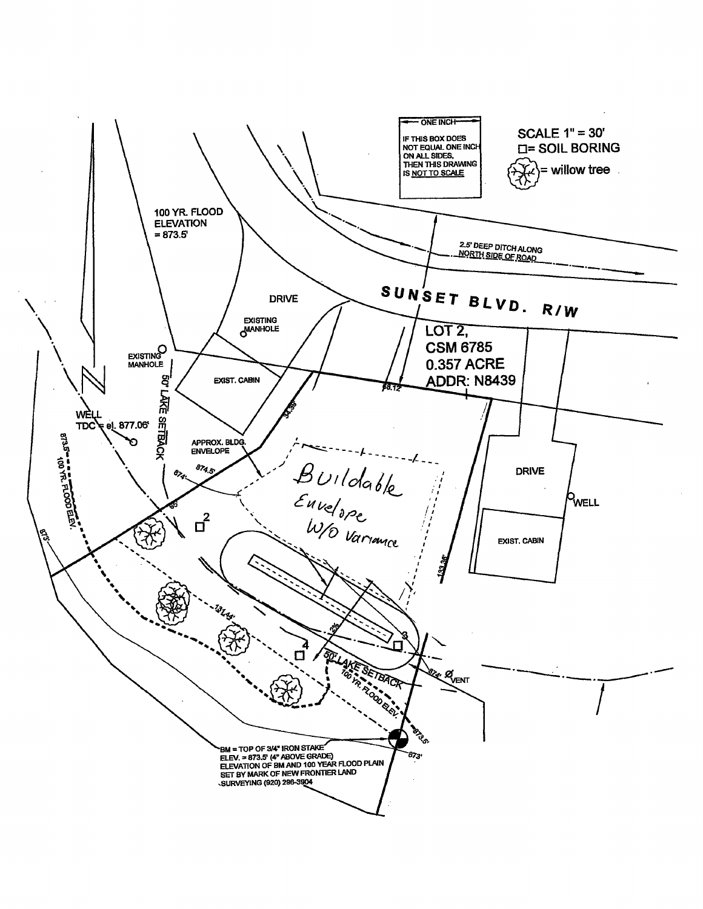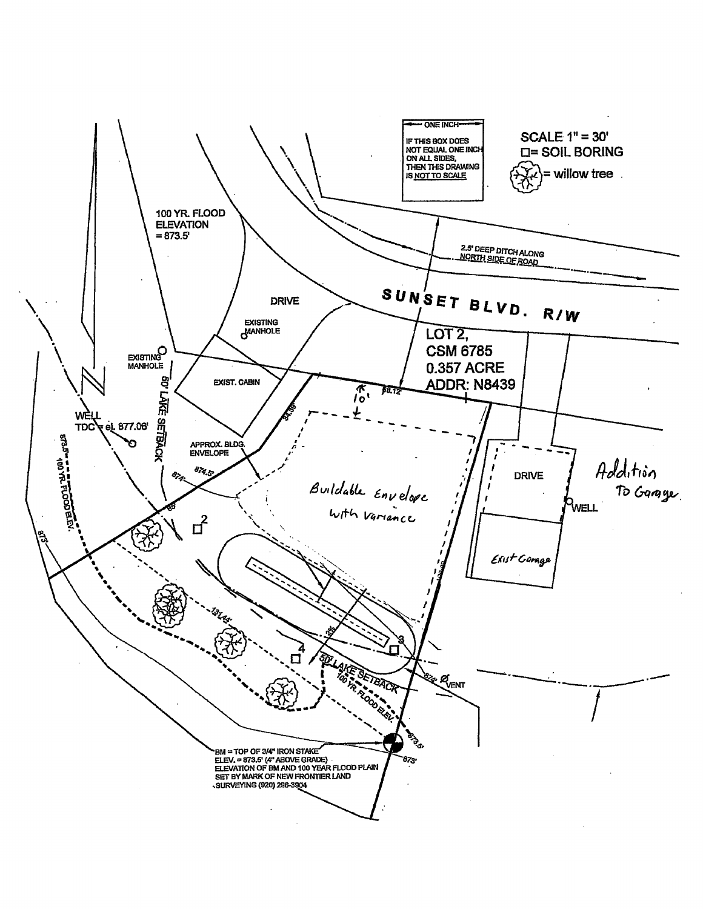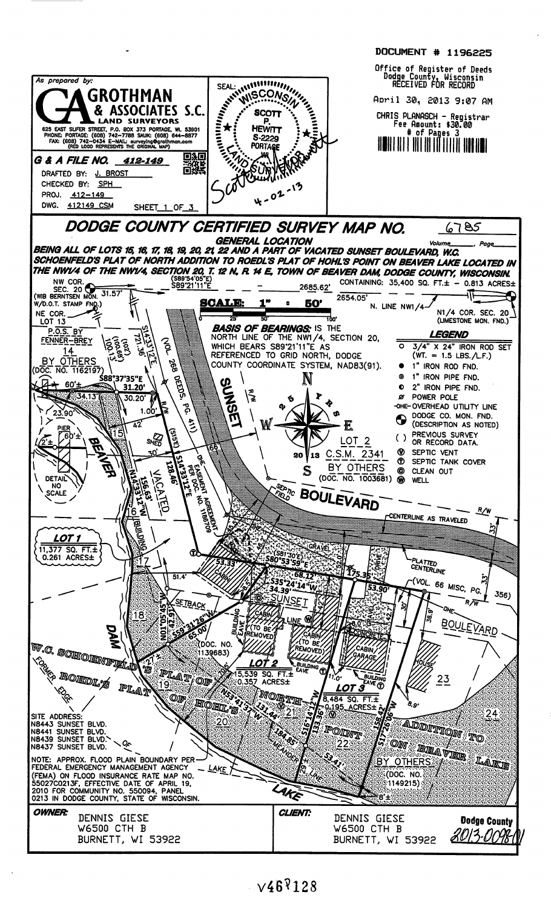

 $\sqrt{46}$ <sup>9</sup>128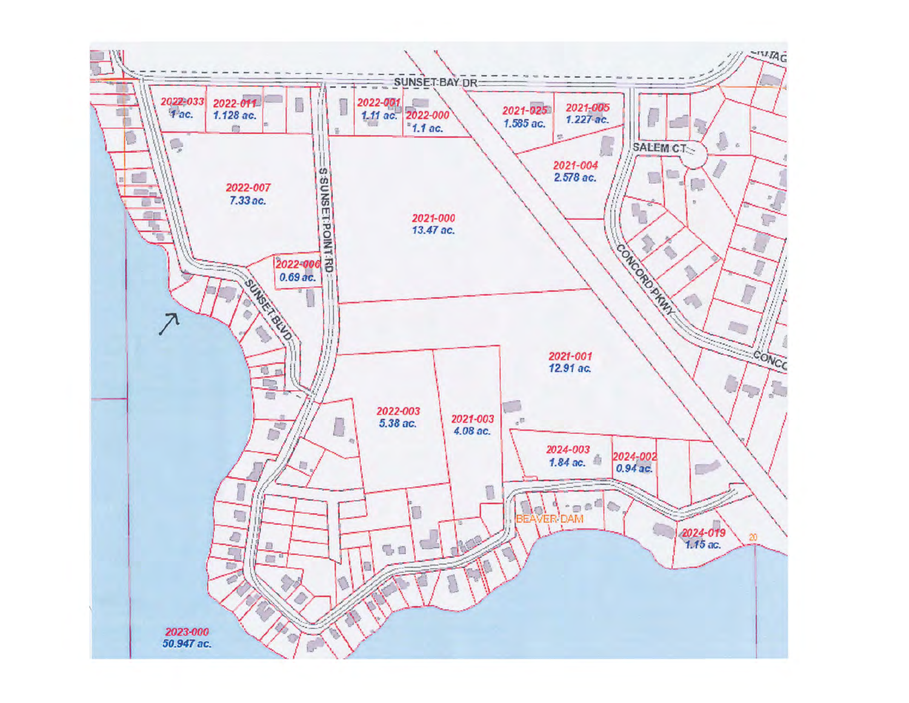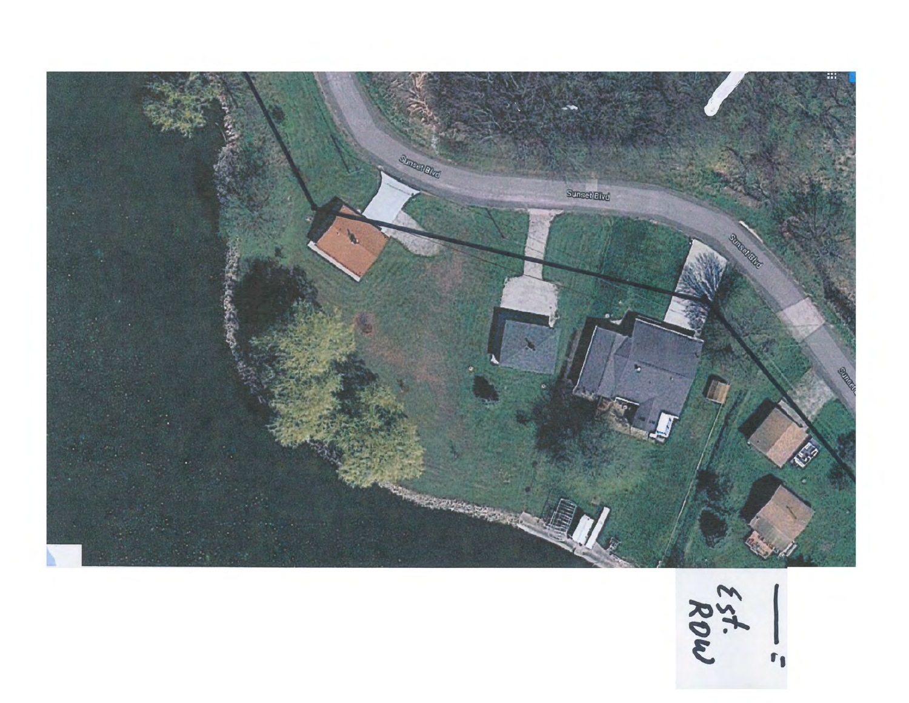

157.<br>Row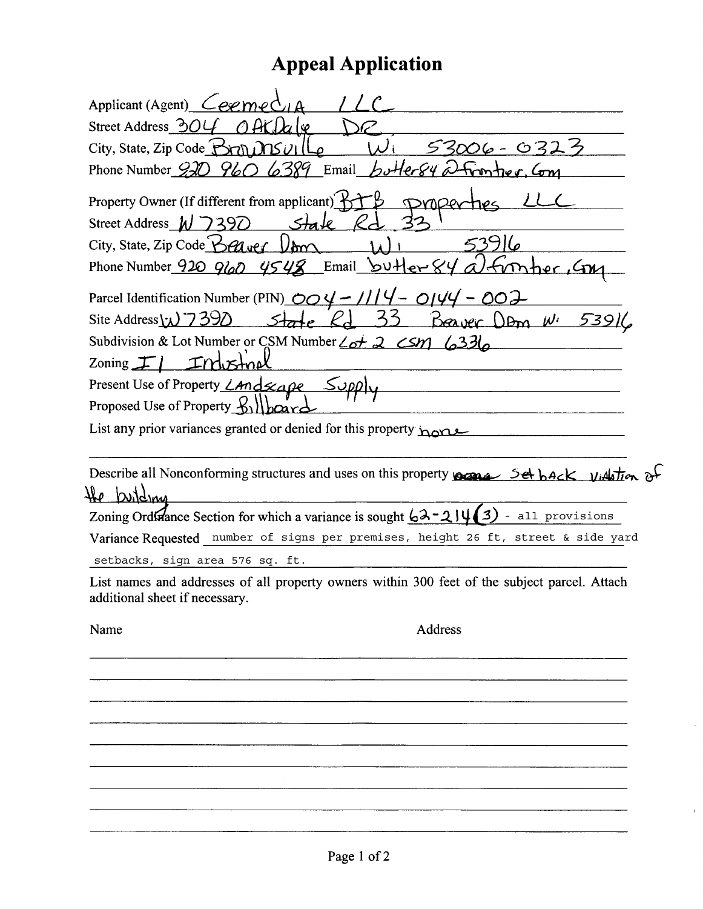# **Appeal Application**

| Applicant (Agent) $C$ eeme(                                                                                                                                                                                                                                                                                                                                                                                                                                                                                                                                               |
|---------------------------------------------------------------------------------------------------------------------------------------------------------------------------------------------------------------------------------------------------------------------------------------------------------------------------------------------------------------------------------------------------------------------------------------------------------------------------------------------------------------------------------------------------------------------------|
| Street Address 304                                                                                                                                                                                                                                                                                                                                                                                                                                                                                                                                                        |
| City, State, Zip Code Brn DISUL<br>63                                                                                                                                                                                                                                                                                                                                                                                                                                                                                                                                     |
| Phone Number $920$ $960$ $6389$ Email bottersy $2$<br>trontier,                                                                                                                                                                                                                                                                                                                                                                                                                                                                                                           |
| Property Owner (If different from applicant) K<br>Street Address $M$ 7390<br>Stale<br>City, State, Zip Code $\bigcirc$ $\mathcal{C}$ wer $\bigcup$ or<br>Phone Number 920 960 $4548$ Email butter 84<br>mher, G<br>Parcel Identification Number (PIN) $\overline{OO4}$ – 1114 – 0144<br>002<br>Site Address $\omega$ 7390<br>くく<br>Beaver Dom W.<br>$5$ tate<br>Subdivision & Lot Number or CSM Number $\angle_{0}t$ 2 $\angle$ SM $\angle_{0}33\angle$<br>Zoning $\mathcal{F}$<br>ட்ட<br>Present Use of Property <i>Land scape</i><br>Proposed Use of Property by lboard |
| List any prior variances granted or denied for this property home                                                                                                                                                                                                                                                                                                                                                                                                                                                                                                         |
| Describe all Nonconforming structures and uses on this property para 5et back videtion of<br>مللا<br>building<br>Zoning Ordinance Section for which a variance is sought $62 - 214(3)$ - all provisions                                                                                                                                                                                                                                                                                                                                                                   |
| Variance Requested number of signs per premises, height 26 ft, street & side yard                                                                                                                                                                                                                                                                                                                                                                                                                                                                                         |
| setbacks, sign area 576 sq. ft.                                                                                                                                                                                                                                                                                                                                                                                                                                                                                                                                           |
| List names and addresses of all property owners within 300 feet of the subject parcel. Attach<br>additional sheet if necessary.                                                                                                                                                                                                                                                                                                                                                                                                                                           |
| Address<br>Name                                                                                                                                                                                                                                                                                                                                                                                                                                                                                                                                                           |
|                                                                                                                                                                                                                                                                                                                                                                                                                                                                                                                                                                           |
|                                                                                                                                                                                                                                                                                                                                                                                                                                                                                                                                                                           |
|                                                                                                                                                                                                                                                                                                                                                                                                                                                                                                                                                                           |
|                                                                                                                                                                                                                                                                                                                                                                                                                                                                                                                                                                           |
|                                                                                                                                                                                                                                                                                                                                                                                                                                                                                                                                                                           |

 $\overline{\phantom{a}}$ 

 $\hat{J}$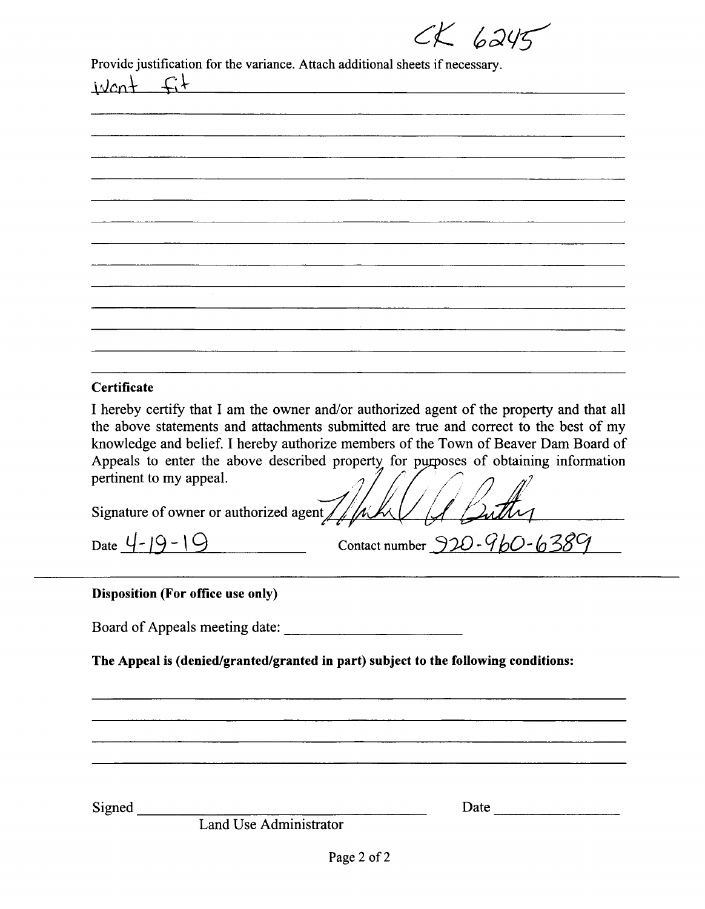$CK$  6245

Provide justification for the variance. Attach additional sheets if necessary.

| Certificate                                                                                                                                                                |
|----------------------------------------------------------------------------------------------------------------------------------------------------------------------------|
| I hereby certify that I am the owner and/or authorized agent of the property and that all                                                                                  |
| the above statements and attachments submitted are true and correct to the best of my                                                                                      |
| knowledge and belief. I hereby authorize members of the Town of Beaver Dam Board of<br>Appeals to enter the above described property for purposes of obtaining information |
| pertinent to my appeal.                                                                                                                                                    |
|                                                                                                                                                                            |
| Signature of owner or authorized agent                                                                                                                                     |
| Contact number $920 - 960 - 6$<br>Date 4                                                                                                                                   |
|                                                                                                                                                                            |

#### Disposition (For office use only)

The Appeal is (denied/granted/granted in part) subject to the following conditions:

Signed

Date

Land Use Administrator

이 사이에 대한 사이에 대한 사이에 대한 사이에 대한 사이에 대한 사이에 대한 사이에 대한 사이에 대한 사이에 대한 사이에 대한 사이에 대한 사이에 대한 사이에 대한 사이에 대한 사이에 대한 사이에<br>이 사이에 대한 사이에 대한 사이에 대한 사이에 대한 사이에 대한 사이에 대한 사이에 대한 사이에 대한 사이에 대한 사이에 대한 사이에 대한 사이에 대한 사이에 대한 사이에 대한 사이에 대한 사이에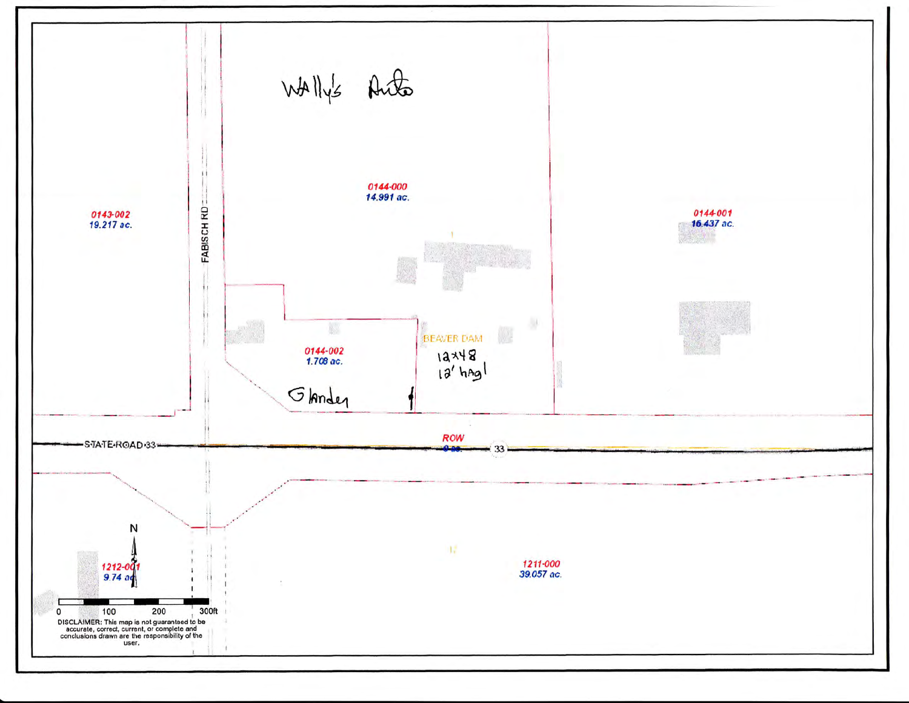